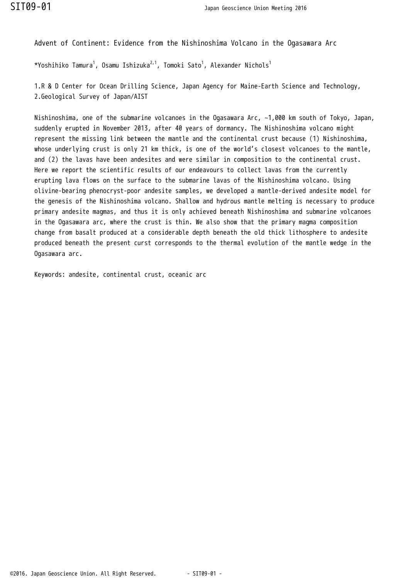Advent of Continent: Evidence from the Nishinoshima Volcano in the Ogasawara Arc

\*Yoshihiko Tamura $^1$ , Osamu Ishizuka $^{2,1}$ , Tomoki Sato $^1$ , Alexander Nichols $^1$ 

1.R & D Center for Ocean Drilling Science, Japan Agency for Maine-Earth Science and Technology, 2.Geological Survey of Japan/AIST

Nishinoshima, one of the submarine volcanoes in the Ogasawara Arc, ~1,000 km south of Tokyo, Japan, suddenly erupted in November 2013, after 40 years of dormancy. The Nishinoshima volcano might represent the missing link between the mantle and the continental crust because (1) Nishinoshima, whose underlying crust is only 21 km thick, is one of the world's closest volcanoes to the mantle, and (2) the lavas have been andesites and were similar in composition to the continental crust. Here we report the scientific results of our endeavours to collect lavas from the currently erupting lava flows on the surface to the submarine lavas of the Nishinoshima volcano. Using olivine-bearing phenocryst-poor andesite samples, we developed a mantle-derived andesite model for the genesis of the Nishinoshima volcano. Shallow and hydrous mantle melting is necessary to produce primary andesite magmas, and thus it is only achieved beneath Nishinoshima and submarine volcanoes in the Ogasawara arc, where the crust is thin. We also show that the primary magma composition change from basalt produced at a considerable depth beneath the old thick lithosphere to andesite produced beneath the present curst corresponds to the thermal evolution of the mantle wedge in the Ogasawara arc.

Keywords: andesite, continental crust, oceanic arc